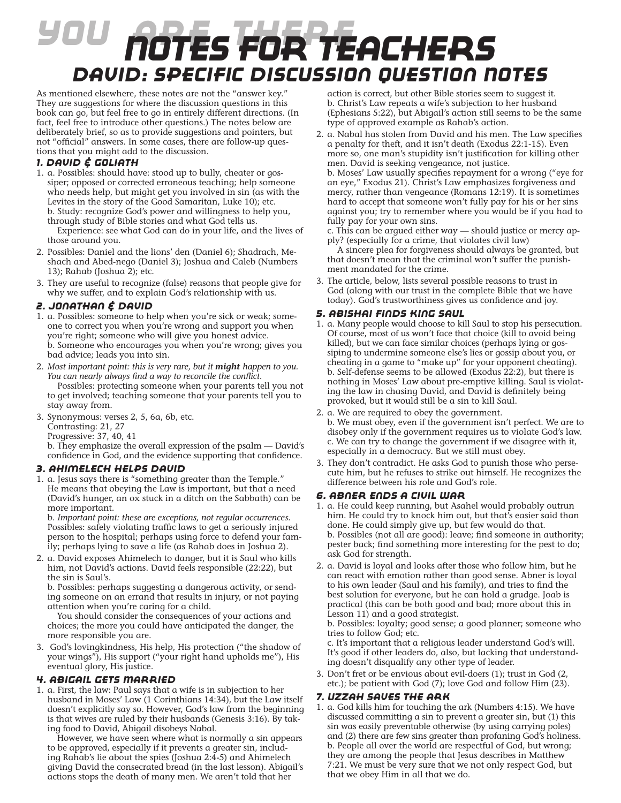# *You Are There Notes for teachers David: Specific Discussion Question Notes*

As mentioned elsewhere, these notes are not the "answer key." They are suggestions for where the discussion questions in this book can go, but feel free to go in entirely different directions. (In fact, feel free to introduce other questions.) The notes below are deliberately brief, so as to provide suggestions and pointers, but not "official" answers. In some cases, there are follow-up questions that you might add to the discussion.

## *1. David & Goliath*

1. a. Possibles: should have: stood up to bully, cheater or gossiper; opposed or corrected erroneous teaching; help someone who needs help, but might get you involved in sin (as with the Levites in the story of the Good Samaritan, Luke 10); etc. b. Study: recognize God's power and willingness to help you, through study of Bible stories and what God tells us.

 Experience: see what God can do in your life, and the lives of those around you.

- 2. Possibles: Daniel and the lions' den (Daniel 6); Shadrach, Meshach and Abed-nego (Daniel 3); Joshua and Caleb (Numbers 13); Rahab (Joshua 2); etc.
- 3. They are useful to recognize (false) reasons that people give for why we suffer, and to explain God's relationship with us.

### *2. Jonathan & David*

- 1. a. Possibles: someone to help when you're sick or weak; someone to correct you when you're wrong and support you when you're right; someone who will give you honest advice. b. Someone who encourages you when you're wrong; gives you bad advice; leads you into sin.
- 2. *Most important point: this is very rare, but it might happen to you. You can nearly always find a way to reconcile the conflict.* Possibles: protecting someone when your parents tell you not to get involved; teaching someone that your parents tell you to stay away from.
- 3. Synonymous: verses 2, 5, 6a, 6b, etc.
	- Contrasting: 21, 27
	- Progressive: 37, 40, 41

b. They emphasize the overall expression of the psalm — David's confidence in God, and the evidence supporting that confidence.

#### *3. Ahimelech Helps David*

1. a. Jesus says there is "something greater than the Temple." He means that obeying the Law is important, but that a need (David's hunger, an ox stuck in a ditch on the Sabbath) can be more important.

b. *Important point: these are exceptions, not regular occurrences.* Possibles: safely violating traffic laws to get a seriously injured person to the hospital; perhaps using force to defend your family; perhaps lying to save a life (as Rahab does in Joshua 2).

2. a. David exposes Ahimelech to danger, but it is Saul who kills him, not David's actions. David feels responsible (22:22), but the sin is Saul's.

b. Possibles: perhaps suggesting a dangerous activity, or sending someone on an errand that results in injury, or not paying attention when you're caring for a child.

 You should consider the consequences of your actions and choices; the more you could have anticipated the danger, the more responsible you are.

3. God's lovingkindness, His help, His protection ("the shadow of your wings"), His support ("your right hand upholds me"), His eventual glory, His justice.

## *4. Abigail Gets Married*

1. a. First, the law: Paul says that a wife is in subjection to her husband in Moses' Law (1 Corinthians 14:34), but the Law itself doesn't explicitly say so. However, God's law from the beginning is that wives are ruled by their husbands (Genesis 3:16). By taking food to David, Abigail disobeys Nabal.

 However, we have seen where what is normally a sin appears to be approved, especially if it prevents a greater sin, including Rahab's lie about the spies (Joshua 2:4-5) and Ahimelech giving David the consecrated bread (in the last lesson). Abigail's actions stops the death of many men. We aren't told that her

action is correct, but other Bible stories seem to suggest it. b. Christ's Law repeats a wife's subjection to her husband (Ephesians 5:22), but Abigail's action still seems to be the same type of approved example as Rahab's action.

2. a. Nabal has stolen from David and his men. The Law specifies a penalty for theft, and it isn't death (Exodus 22:1-15). Even more so, one man's stupidity isn't justification for killing other men. David is seeking vengeance, not justice.

b. Moses' Law usually specifies repayment for a wrong ("eye for an eye," Exodus 21). Christ's Law emphasizes forgiveness and mercy, rather than vengeance (Romans 12:19). It is sometimes hard to accept that someone won't fully pay for his or her sins against you; try to remember where you would be if you had to fully pay for your own sins.

c. This can be argued either way — should justice or mercy apply? (especially for a crime, that violates civil law)

 A sincere plea for forgiveness should always be granted, but that doesn't mean that the criminal won't suffer the punishment mandated for the crime.

3. The article, below, lists several possible reasons to trust in God (along with our trust in the complete Bible that we have today). God's trustworthiness gives us confidence and joy.

#### *5. Abishai Finds King Saul*

- 1. a. Many people would choose to kill Saul to stop his persecution. Of course, most of us won't face that choice (kill to avoid being killed), but we can face similar choices (perhaps lying or gossiping to undermine someone else's lies or gossip about you, or cheating in a game to "make up" for your opponent cheating). b. Self-defense seems to be allowed (Exodus 22:2), but there is nothing in Moses' Law about pre-emptive killing. Saul is violating the law in chasing David, and David is definitely being provoked, but it would still be a sin to kill Saul.
- 2. a. We are required to obey the government. b. We must obey, even if the government isn't perfect. We are to disobey only if the government requires us to violate God's law. c. We can try to change the government if we disagree with it, especially in a democracy. But we still must obey.
- 3. They don't contradict. He asks God to punish those who persecute him, but he refuses to strike out himself. He recognizes the difference between his role and God's role.

#### *6. Abner Ends a Civil War*

- 1. a. He could keep running, but Asahel would probably outrun him. He could try to knock him out, but that's easier said than done. He could simply give up, but few would do that. b. Possibles (not all are good): leave; find someone in authority; pester back; find something more interesting for the pest to do; ask God for strength.
- 2. a. David is loyal and looks after those who follow him, but he can react with emotion rather than good sense. Abner is loyal to his own leader (Saul and his family), and tries to find the best solution for everyone, but he can hold a grudge. Joab is practical (this can be both good and bad; more about this in Lesson 11) and a good strategist.

b. Possibles: loyalty; good sense; a good planner; someone who tries to follow God; etc.

c. It's important that a religious leader understand God's will. It's good if other leaders do, also, but lacking that understanding doesn't disqualify any other type of leader.

3. Don't fret or be envious about evil-doers (1); trust in God (2, etc.); be patient with God (7); love God and follow Him (23).

#### *7. Uzzah Saves the Ark*

1. a. God kills him for touching the ark (Numbers 4:15). We have discussed committing a sin to prevent a greater sin, but (1) this sin was easily preventable otherwise (by using carrying poles) and (2) there are few sins greater than profaning God's holiness. b. People all over the world are respectful of God, but wrong; they are among the people that Jesus describes in Matthew 7:21. We must be very sure that we not only respect God, but that we obey Him in all that we do.